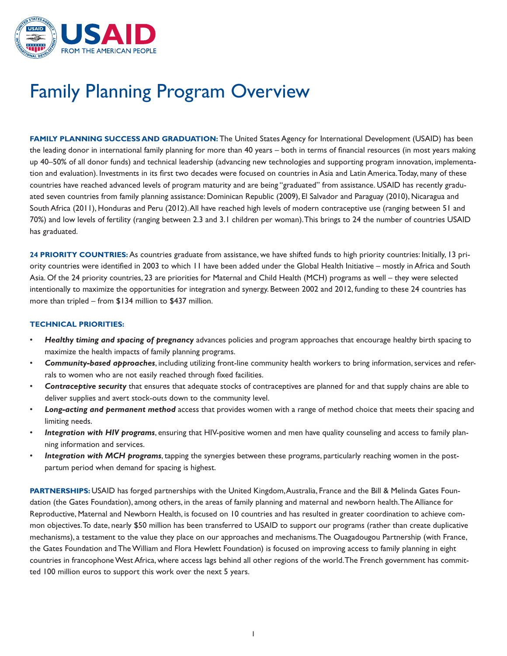

## Family Planning Program Overview

**FAMILY PLANNING SUCCESS AND GRADUATION:** The United States Agency for International Development (USAID) has been the leading donor in international family planning for more than 40 years – both in terms of financial resources (in most years making up 40–50% of all donor funds) and technical leadership (advancing new technologies and supporting program innovation, implementation and evaluation). Investments in its first two decades were focused on countries in Asia and Latin America.Today, many of these countries have reached advanced levels of program maturity and are being "graduated" from assistance. USAID has recently graduated seven countries from family planning assistance: Dominican Republic (2009), El Salvador and Paraguay (2010), Nicaragua and South Africa (2011), Honduras and Peru (2012).All have reached high levels of modern contraceptive use (ranging between 51 and 70%) and low levels of fertility (ranging between 2.3 and 3.1 children per woman).This brings to 24 the number of countries USAID has graduated.

**24 PRIORITY COUNTRIES:** As countries graduate from assistance, we have shifted funds to high priority countries: Initially, 13 priority countries were identified in 2003 to which 11 have been added under the Global Health Initiative – mostly in Africa and South Asia. Of the 24 priority countries, 23 are priorities for Maternal and Child Health (MCH) programs as well – they were selected intentionally to maximize the opportunities for integration and synergy. Between 2002 and 2012, funding to these 24 countries has more than tripled – from \$134 million to \$437 million.

## **TECHNICAL PRIORITIES:**

- maximize the health impacts of family planning programs. Healthy timing and spacing of pregnancy advances policies and program approaches that encourage healthy birth spacing to
- Community-based approaches, including utilizing front-line community health workers to bring information, services and referrals to women who are not easily reached through fixed facilities.
- **Contraceptive security** that ensures that adequate stocks of contraceptives are planned for and that supply chains are able to deliver supplies and avert stock-outs down to the community level.
- Long-acting and permanent method access that provides women with a range of method choice that meets their spacing and limiting needs.
- Integration with HIV programs, ensuring that HIV-positive women and men have quality counseling and access to family planning information and services.
- Integration with MCH programs, tapping the synergies between these programs, particularly reaching women in the postpartum period when demand for spacing is highest.

 ted 100 million euros to support this work over the next 5 years. PARTNERSHIPS: USAID has forged partnerships with the United Kingdom, Australia, France and the Bill & Melinda Gates Foundation (the Gates Foundation), among others, in the areas of family planning and maternal and newborn health.The Alliance for Reproductive, Maternal and Newborn Health, is focused on 10 countries and has resulted in greater coordination to achieve common objectives.To date, nearly \$50 million has been transferred to USAID to support our programs (rather than create duplicative mechanisms), a testament to the value they place on our approaches and mechanisms.The Ouagadougou Partnership (with France, the Gates Foundation and The William and Flora Hewlett Foundation) is focused on improving access to family planning in eight countries in francophone West Africa, where access lags behind all other regions of the world.The French government has commit-